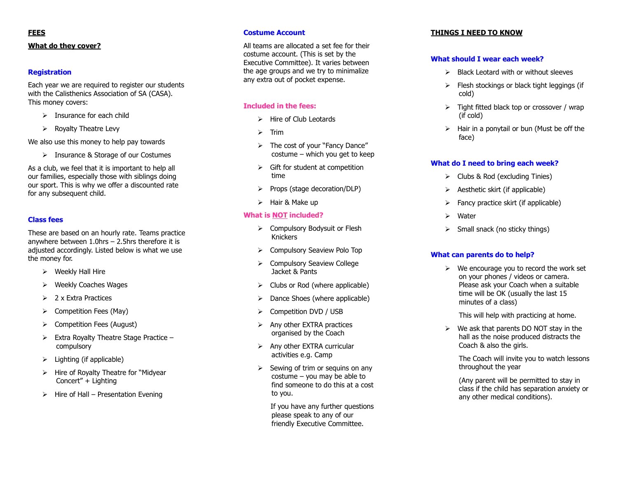#### **What do they cover?**

#### **Registration**

**FEES**

Each year we are required to register our students with the Calisthenics Association of SA (CASA). This money covers:

- $\triangleright$  Insurance for each child
- ➢ Royalty Theatre Levy

We also use this money to help pay towards

➢ Insurance & Storage of our Costumes

As a club, we feel that it is important to help all our families, especially those with siblings doing our sport. This is why we offer a discounted rate for any subsequent child.

#### **Class fees**

These are based on an hourly rate. Teams practice anywhere between 1.0hrs – 2.5hrs therefore it is adjusted accordingly. Listed below is what we use the money for.

- $\triangleright$  Weekly Hall Hire
- ➢ Weekly Coaches Wages
- ➢ 2 x Extra Practices
- ➢ Competition Fees (May)
- ➢ Competition Fees (August)
- ➢ Extra Royalty Theatre Stage Practice compulsory
- $\triangleright$  Lighting (if applicable)
- ➢ Hire of Royalty Theatre for "Midyear Concert" + Lighting
- ➢ Hire of Hall Presentation Evening

#### **Costume Account**

All teams are allocated a set fee for their costume account. (This is set by the Executive Committee). It varies between the age groups and we try to minimalize any extra out of pocket expense.

#### **Included in the fees:**

- ➢ Hire of Club Leotards
- ➢ Trim
- ➢ The cost of your "Fancy Dance" costume – which you get to keep
- $\triangleright$  Gift for student at competition time
- ➢ Props (stage decoration/DLP)
- ➢ Hair & Make up

#### **What is NOT included?**

- ➢ Compulsory Bodysuit or Flesh Knickers
- ➢ Compulsory Seaview Polo Top
- ➢ Compulsory Seaview College Jacket & Pants
- $\triangleright$  Clubs or Rod (where applicable)
- $\triangleright$  Dance Shoes (where applicable)
- ➢ Competition DVD / USB
- $\triangleright$  Any other EXTRA practices organised by the Coach
- $\triangleright$  Any other EXTRA curricular activities e.g. Camp
- $\triangleright$  Sewing of trim or sequins on any costume – you may be able to find someone to do this at a cost to you.

 If you have any further questions please speak to any of our friendly Executive Committee.

#### **THINGS I NEED TO KNOW**

#### **What should I wear each week?**

- $\triangleright$  Black Leotard with or without sleeves
- $\triangleright$  Flesh stockings or black tight leggings (if cold)
- $\triangleright$  Tight fitted black top or crossover / wrap (if cold)
- $\triangleright$  Hair in a ponytail or bun (Must be off the face)

#### **What do I need to bring each week?**

- $\triangleright$  Clubs & Rod (excluding Tinies)
- $\triangleright$  Aesthetic skirt (if applicable)
- $\triangleright$  Fancy practice skirt (if applicable)
- ➢ Water
- $\triangleright$  Small snack (no sticky things)

#### **What can parents do to help?**

 $\triangleright$  We encourage you to record the work set on your phones / videos or camera. Please ask your Coach when a suitable time will be OK (usually the last 15 minutes of a class)

This will help with practicing at home.

 $\triangleright$  We ask that parents DO NOT stay in the hall as the noise produced distracts the Coach & also the girls.

The Coach will invite you to watch lessons throughout the year

(Any parent will be permitted to stay in class if the child has separation anxiety or any other medical conditions).